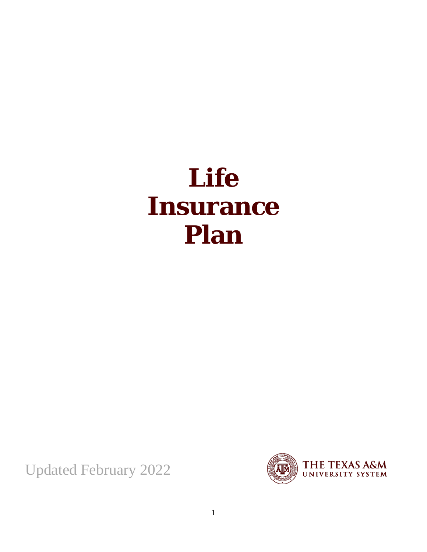# **Life Insurance Plan**

Updated February 2022

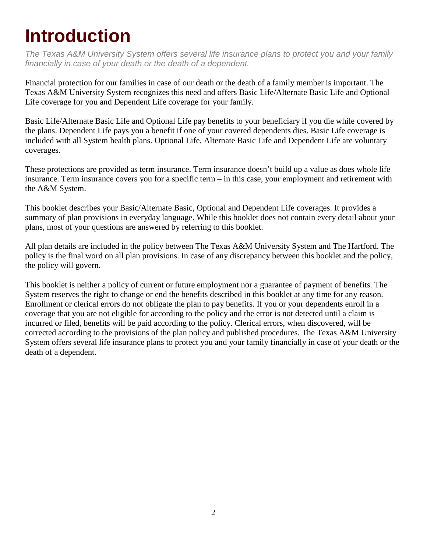## <span id="page-1-0"></span>**Introduction**

*The Texas A&M University System offers several life insurance plans to protect you and your family financially in case of your death or the death of a dependent.*

Financial protection for our families in case of our death or the death of a family member is important. The Texas A&M University System recognizes this need and offers Basic Life/Alternate Basic Life and Optional Life coverage for you and Dependent Life coverage for your family.

Basic Life/Alternate Basic Life and Optional Life pay benefits to your beneficiary if you die while covered by the plans. Dependent Life pays you a benefit if one of your covered dependents dies. Basic Life coverage is included with all System health plans. Optional Life, Alternate Basic Life and Dependent Life are voluntary coverages.

These protections are provided as term insurance. Term insurance doesn't build up a value as does whole life insurance. Term insurance covers you for a specific term – in this case, your employment and retirement with the A&M System.

This booklet describes your Basic/Alternate Basic, Optional and Dependent Life coverages. It provides a summary of plan provisions in everyday language. While this booklet does not contain every detail about your plans, most of your questions are answered by referring to this booklet.

All plan details are included in the policy between The Texas A&M University System and The Hartford. The policy is the final word on all plan provisions. In case of any discrepancy between this booklet and the policy, the policy will govern.

This booklet is neither a policy of current or future employment nor a guarantee of payment of benefits. The System reserves the right to change or end the benefits described in this booklet at any time for any reason. Enrollment or clerical errors do not obligate the plan to pay benefits. If you or your dependents enroll in a coverage that you are not eligible for according to the policy and the error is not detected until a claim is incurred or filed, benefits will be paid according to the policy. Clerical errors, when discovered, will be corrected according to the provisions of the plan policy and published procedures. The Texas A&M University System offers several life insurance plans to protect you and your family financially in case of your death or the death of a dependent.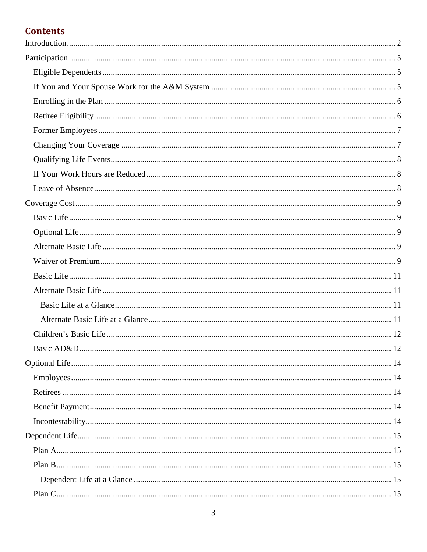#### **Contents**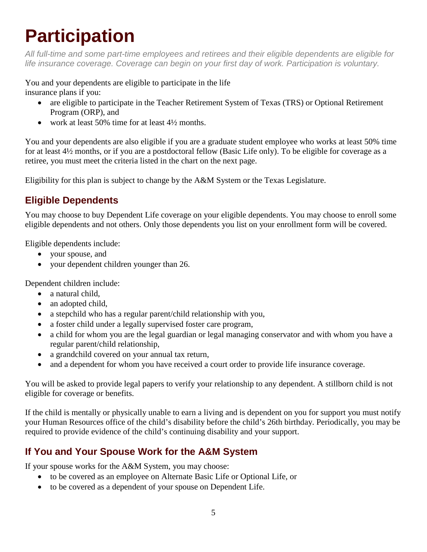# <span id="page-4-0"></span>**Participation**

*All full-time and some part-time employees and retirees and their eligible dependents are eligible for life insurance coverage. Coverage can begin on your first day of work. Participation is voluntary.*

You and your dependents are eligible to participate in the life insurance plans if you:

- are eligible to participate in the Teacher Retirement System of Texas (TRS) or Optional Retirement Program (ORP), and
- work at least 50% time for at least 4½ months.

You and your dependents are also eligible if you are a graduate student employee who works at least 50% time for at least 4½ months, or if you are a postdoctoral fellow (Basic Life only). To be eligible for coverage as a retiree, you must meet the criteria listed in the chart on the next page.

Eligibility for this plan is subject to change by the A&M System or the Texas Legislature.

#### <span id="page-4-1"></span>**Eligible Dependents**

You may choose to buy Dependent Life coverage on your eligible dependents. You may choose to enroll some eligible dependents and not others. Only those dependents you list on your enrollment form will be covered.

Eligible dependents include:

- your spouse, and
- your dependent children younger than 26.

Dependent children include:

- a natural child,
- an adopted child,
- a stepchild who has a regular parent/child relationship with you,
- a foster child under a legally supervised foster care program,
- a child for whom you are the legal guardian or legal managing conservator and with whom you have a regular parent/child relationship,
- a grandchild covered on your annual tax return,
- and a dependent for whom you have received a court order to provide life insurance coverage.

You will be asked to provide legal papers to verify your relationship to any dependent. A stillborn child is not eligible for coverage or benefits.

If the child is mentally or physically unable to earn a living and is dependent on you for support you must notify your Human Resources office of the child's disability before the child's 26th birthday. Periodically, you may be required to provide evidence of the child's continuing disability and your support.

#### <span id="page-4-2"></span>**If You and Your Spouse Work for the A&M System**

If your spouse works for the A&M System, you may choose:

- to be covered as an employee on Alternate Basic Life or Optional Life, or
- to be covered as a dependent of your spouse on Dependent Life.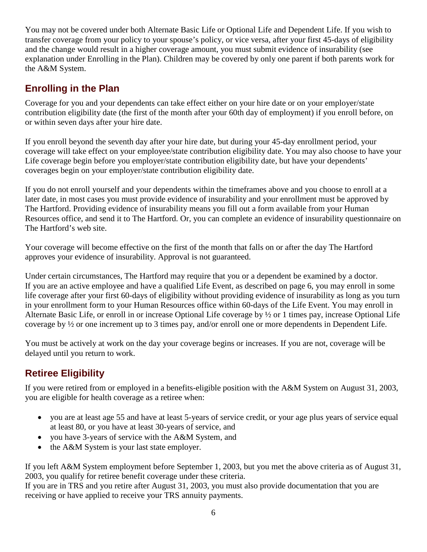You may not be covered under both Alternate Basic Life or Optional Life and Dependent Life. If you wish to transfer coverage from your policy to your spouse's policy, or vice versa, after your first 45-days of eligibility and the change would result in a higher coverage amount, you must submit evidence of insurability (see explanation under Enrolling in the Plan). Children may be covered by only one parent if both parents work for the A&M System.

#### <span id="page-5-0"></span>**Enrolling in the Plan**

Coverage for you and your dependents can take effect either on your hire date or on your employer/state contribution eligibility date (the first of the month after your 60th day of employment) if you enroll before, on or within seven days after your hire date.

If you enroll beyond the seventh day after your hire date, but during your 45-day enrollment period, your coverage will take effect on your employee/state contribution eligibility date. You may also choose to have your Life coverage begin before you employer/state contribution eligibility date, but have your dependents' coverages begin on your employer/state contribution eligibility date.

If you do not enroll yourself and your dependents within the timeframes above and you choose to enroll at a later date, in most cases you must provide evidence of insurability and your enrollment must be approved by The Hartford. Providing evidence of insurability means you fill out a form available from your Human Resources office, and send it to The Hartford. Or, you can complete an evidence of insurability questionnaire on The Hartford's web site.

Your coverage will become effective on the first of the month that falls on or after the day The Hartford approves your evidence of insurability. Approval is not guaranteed.

Under certain circumstances, The Hartford may require that you or a dependent be examined by a doctor. If you are an active employee and have a qualified Life Event, as described on page 6, you may enroll in some life coverage after your first 60-days of eligibility without providing evidence of insurability as long as you turn in your enrollment form to your Human Resources office within 60-days of the Life Event. You may enroll in Alternate Basic Life, or enroll in or increase Optional Life coverage by ½ or 1 times pay, increase Optional Life coverage by ½ or one increment up to 3 times pay, and/or enroll one or more dependents in Dependent Life.

You must be actively at work on the day your coverage begins or increases. If you are not, coverage will be delayed until you return to work.

#### <span id="page-5-1"></span>**Retiree Eligibility**

If you were retired from or employed in a benefits-eligible position with the A&M System on August 31, 2003, you are eligible for health coverage as a retiree when:

- you are at least age 55 and have at least 5-years of service credit, or your age plus years of service equal at least 80, or you have at least 30-years of service, and
- you have 3-years of service with the A&M System, and
- the A&M System is your last state employer.

If you left A&M System employment before September 1, 2003, but you met the above criteria as of August 31, 2003, you qualify for retiree benefit coverage under these criteria.

If you are in TRS and you retire after August 31, 2003, you must also provide documentation that you are receiving or have applied to receive your TRS annuity payments.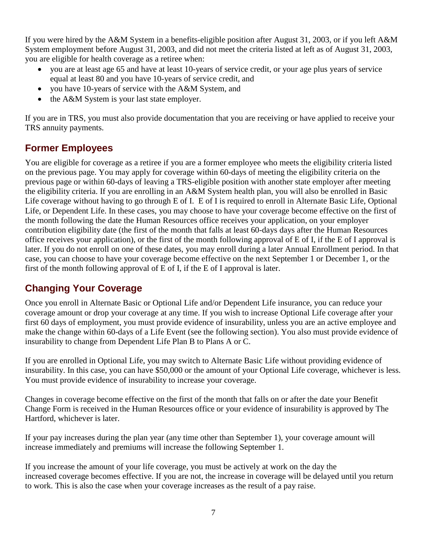If you were hired by the A&M System in a benefits-eligible position after August 31, 2003, or if you left A&M System employment before August 31, 2003, and did not meet the criteria listed at left as of August 31, 2003, you are eligible for health coverage as a retiree when:

- you are at least age 65 and have at least 10-years of service credit, or your age plus years of service equal at least 80 and you have 10-years of service credit, and
- you have 10-years of service with the A&M System, and
- the A&M System is your last state employer.

If you are in TRS, you must also provide documentation that you are receiving or have applied to receive your TRS annuity payments.

#### <span id="page-6-0"></span>**Former Employees**

You are eligible for coverage as a retiree if you are a former employee who meets the eligibility criteria listed on the previous page. You may apply for coverage within 60-days of meeting the eligibility criteria on the previous page or within 60-days of leaving a TRS-eligible position with another state employer after meeting the eligibility criteria. If you are enrolling in an A&M System health plan, you will also be enrolled in Basic Life coverage without having to go through E of I. E of I is required to enroll in Alternate Basic Life, Optional Life, or Dependent Life. In these cases, you may choose to have your coverage become effective on the first of the month following the date the Human Resources office receives your application, on your employer contribution eligibility date (the first of the month that falls at least 60-days days after the Human Resources office receives your application), or the first of the month following approval of E of I, if the E of I approval is later. If you do not enroll on one of these dates, you may enroll during a later Annual Enrollment period. In that case, you can choose to have your coverage become effective on the next September 1 or December 1, or the first of the month following approval of E of I, if the E of I approval is later.

#### <span id="page-6-1"></span>**Changing Your Coverage**

Once you enroll in Alternate Basic or Optional Life and/or Dependent Life insurance, you can reduce your coverage amount or drop your coverage at any time. If you wish to increase Optional Life coverage after your first 60 days of employment, you must provide evidence of insurability, unless you are an active employee and make the change within 60-days of a Life Event (see the following section). You also must provide evidence of insurability to change from Dependent Life Plan B to Plans A or C.

If you are enrolled in Optional Life, you may switch to Alternate Basic Life without providing evidence of insurability. In this case, you can have \$50,000 or the amount of your Optional Life coverage, whichever is less. You must provide evidence of insurability to increase your coverage.

Changes in coverage become effective on the first of the month that falls on or after the date your Benefit Change Form is received in the Human Resources office or your evidence of insurability is approved by The Hartford, whichever is later.

If your pay increases during the plan year (any time other than September 1), your coverage amount will increase immediately and premiums will increase the following September 1.

If you increase the amount of your life coverage, you must be actively at work on the day the increased coverage becomes effective. If you are not, the increase in coverage will be delayed until you return to work. This is also the case when your coverage increases as the result of a pay raise.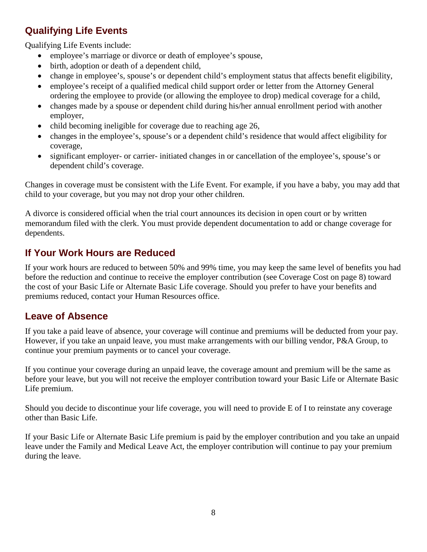#### <span id="page-7-0"></span>**Qualifying Life Events**

Qualifying Life Events include:

- employee's marriage or divorce or death of employee's spouse,
- birth, adoption or death of a dependent child,
- change in employee's, spouse's or dependent child's employment status that affects benefit eligibility,
- employee's receipt of a qualified medical child support order or letter from the Attorney General ordering the employee to provide (or allowing the employee to drop) medical coverage for a child,
- changes made by a spouse or dependent child during his/her annual enrollment period with another employer,
- child becoming ineligible for coverage due to reaching age 26,
- changes in the employee's, spouse's or a dependent child's residence that would affect eligibility for coverage,
- significant employer- or carrier- initiated changes in or cancellation of the employee's, spouse's or dependent child's coverage.

Changes in coverage must be consistent with the Life Event. For example, if you have a baby, you may add that child to your coverage, but you may not drop your other children.

A divorce is considered official when the trial court announces its decision in open court or by written memorandum filed with the clerk. You must provide dependent documentation to add or change coverage for dependents.

#### <span id="page-7-1"></span>**If Your Work Hours are Reduced**

If your work hours are reduced to between 50% and 99% time, you may keep the same level of benefits you had before the reduction and continue to receive the employer contribution (see Coverage Cost on page 8) toward the cost of your Basic Life or Alternate Basic Life coverage. Should you prefer to have your benefits and premiums reduced, contact your Human Resources office.

#### <span id="page-7-2"></span>**Leave of Absence**

If you take a paid leave of absence, your coverage will continue and premiums will be deducted from your pay. However, if you take an unpaid leave, you must make arrangements with our billing vendor, P&A Group, to continue your premium payments or to cancel your coverage.

If you continue your coverage during an unpaid leave, the coverage amount and premium will be the same as before your leave, but you will not receive the employer contribution toward your Basic Life or Alternate Basic Life premium.

Should you decide to discontinue your life coverage, you will need to provide E of I to reinstate any coverage other than Basic Life.

If your Basic Life or Alternate Basic Life premium is paid by the employer contribution and you take an unpaid leave under the Family and Medical Leave Act, the employer contribution will continue to pay your premium during the leave.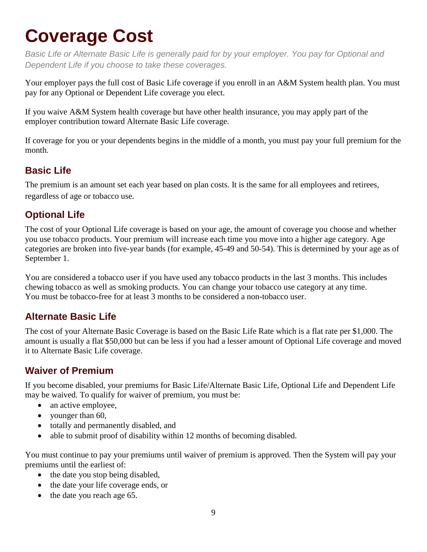### <span id="page-8-0"></span>**Coverage Cost**

*Basic Life or Alternate Basic Life is generally paid for by your employer. You pay for Optional and Dependent Life if you choose to take these coverages.*

Your employer pays the full cost of Basic Life coverage if you enroll in an A&M System health plan. You must pay for any Optional or Dependent Life coverage you elect.

If you waive A&M System health coverage but have other health insurance, you may apply part of the employer contribution toward Alternate Basic Life coverage.

If coverage for you or your dependents begins in the middle of a month, you must pay your full premium for the month.

#### <span id="page-8-1"></span>**Basic Life**

The premium is an amount set each year based on plan costs. It is the same for all employees and retirees, regardless of age or tobacco use.

#### <span id="page-8-2"></span>**Optional Life**

The cost of your Optional Life coverage is based on your age, the amount of coverage you choose and whether you use tobacco products. Your premium will increase each time you move into a higher age category. Age categories are broken into five-year bands (for example, 45-49 and 50-54). This is determined by your age as of September 1.

You are considered a tobacco user if you have used any tobacco products in the last 3 months. This includes chewing tobacco as well as smoking products. You can change your tobacco use category at any time. You must be tobacco-free for at least 3 months to be considered a non-tobacco user.

#### <span id="page-8-3"></span>**Alternate Basic Life**

The cost of your Alternate Basic Coverage is based on the Basic Life Rate which is a flat rate per \$1,000. The amount is usually a flat \$50,000 but can be less if you had a lesser amount of Optional Life coverage and moved it to Alternate Basic Life coverage.

#### <span id="page-8-4"></span>**Waiver of Premium**

If you become disabled, your premiums for Basic Life/Alternate Basic Life, Optional Life and Dependent Life may be waived. To qualify for waiver of premium, you must be:

- an active employee,
- younger than 60,
- totally and permanently disabled, and
- able to submit proof of disability within 12 months of becoming disabled.

You must continue to pay your premiums until waiver of premium is approved. Then the System will pay your premiums until the earliest of:

- the date you stop being disabled,
- the date your life coverage ends, or
- the date you reach age 65.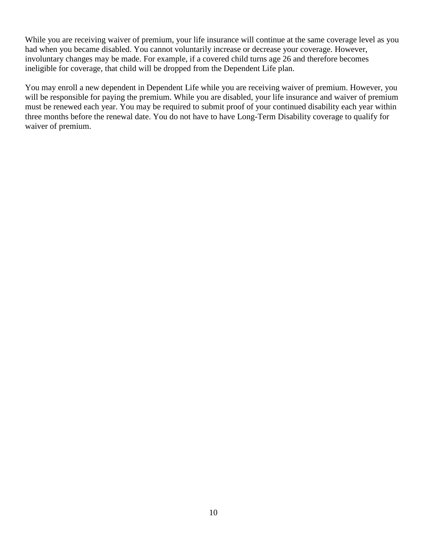While you are receiving waiver of premium, your life insurance will continue at the same coverage level as you had when you became disabled. You cannot voluntarily increase or decrease your coverage. However, involuntary changes may be made. For example, if a covered child turns age 26 and therefore becomes ineligible for coverage, that child will be dropped from the Dependent Life plan.

You may enroll a new dependent in Dependent Life while you are receiving waiver of premium. However, you will be responsible for paying the premium. While you are disabled, your life insurance and waiver of premium must be renewed each year. You may be required to submit proof of your continued disability each year within three months before the renewal date. You do not have to have Long-Term Disability coverage to qualify for waiver of premium.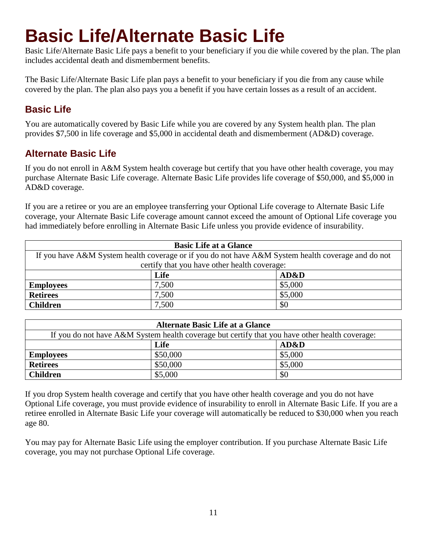### **Basic Life/Alternate Basic Life**

Basic Life/Alternate Basic Life pays a benefit to your beneficiary if you die while covered by the plan. The plan includes accidental death and dismemberment benefits.

The Basic Life/Alternate Basic Life plan pays a benefit to your beneficiary if you die from any cause while covered by the plan. The plan also pays you a benefit if you have certain losses as a result of an accident.

#### <span id="page-10-0"></span>**Basic Life**

You are automatically covered by Basic Life while you are covered by any System health plan. The plan provides \$7,500 in life coverage and \$5,000 in accidental death and dismemberment (AD&D) coverage.

#### <span id="page-10-1"></span>**Alternate Basic Life**

If you do not enroll in A&M System health coverage but certify that you have other health coverage, you may purchase Alternate Basic Life coverage. Alternate Basic Life provides life coverage of \$50,000, and \$5,000 in AD&D coverage.

If you are a retiree or you are an employee transferring your Optional Life coverage to Alternate Basic Life coverage, your Alternate Basic Life coverage amount cannot exceed the amount of Optional Life coverage you had immediately before enrolling in Alternate Basic Life unless you provide evidence of insurability.

<span id="page-10-2"></span>

| <b>Basic Life at a Glance</b>                                                                      |       |         |  |  |
|----------------------------------------------------------------------------------------------------|-------|---------|--|--|
| If you have A&M System health coverage or if you do not have A&M System health coverage and do not |       |         |  |  |
| certify that you have other health coverage:                                                       |       |         |  |  |
|                                                                                                    | Life  | AD&D    |  |  |
| <b>Employees</b>                                                                                   | 7,500 | \$5,000 |  |  |
| <b>Retirees</b>                                                                                    | 7,500 | \$5,000 |  |  |
| <b>Children</b>                                                                                    | 7,500 | \$0     |  |  |

<span id="page-10-3"></span>

| <b>Alternate Basic Life at a Glance</b>                                                        |          |                 |  |
|------------------------------------------------------------------------------------------------|----------|-----------------|--|
| If you do not have A&M System health coverage but certify that you have other health coverage: |          |                 |  |
|                                                                                                | Life     | <b>AD&amp;D</b> |  |
| <b>Employees</b>                                                                               | \$50,000 | \$5,000         |  |
| <b>Retirees</b>                                                                                | \$50,000 | \$5,000         |  |
| <b>Children</b>                                                                                | \$5,000  | \$0             |  |

If you drop System health coverage and certify that you have other health coverage and you do not have Optional Life coverage, you must provide evidence of insurability to enroll in Alternate Basic Life. If you are a retiree enrolled in Alternate Basic Life your coverage will automatically be reduced to \$30,000 when you reach age 80.

You may pay for Alternate Basic Life using the employer contribution. If you purchase Alternate Basic Life coverage, you may not purchase Optional Life coverage.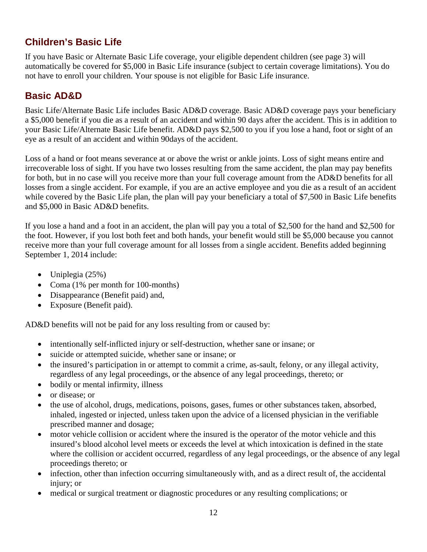#### <span id="page-11-0"></span>**Children's Basic Life**

If you have Basic or Alternate Basic Life coverage, your eligible dependent children (see page 3) will automatically be covered for \$5,000 in Basic Life insurance (subject to certain coverage limitations). You do not have to enroll your children. Your spouse is not eligible for Basic Life insurance.

#### <span id="page-11-1"></span>**Basic AD&D**

Basic Life/Alternate Basic Life includes Basic AD&D coverage. Basic AD&D coverage pays your beneficiary a \$5,000 benefit if you die as a result of an accident and within 90 days after the accident. This is in addition to your Basic Life/Alternate Basic Life benefit. AD&D pays \$2,500 to you if you lose a hand, foot or sight of an eye as a result of an accident and within 90days of the accident.

Loss of a hand or foot means severance at or above the wrist or ankle joints. Loss of sight means entire and irrecoverable loss of sight. If you have two losses resulting from the same accident, the plan may pay benefits for both, but in no case will you receive more than your full coverage amount from the AD&D benefits for all losses from a single accident. For example, if you are an active employee and you die as a result of an accident while covered by the Basic Life plan, the plan will pay your beneficiary a total of \$7,500 in Basic Life benefits and \$5,000 in Basic AD&D benefits.

If you lose a hand and a foot in an accident, the plan will pay you a total of \$2,500 for the hand and \$2,500 for the foot. However, if you lost both feet and both hands, your benefit would still be \$5,000 because you cannot receive more than your full coverage amount for all losses from a single accident. Benefits added beginning September 1, 2014 include:

- Uniplegia  $(25%)$
- Coma (1% per month for 100-months)
- Disappearance (Benefit paid) and,
- Exposure (Benefit paid).

AD&D benefits will not be paid for any loss resulting from or caused by:

- intentionally self-inflicted injury or self-destruction, whether sane or insane; or
- suicide or attempted suicide, whether sane or insane; or
- the insured's participation in or attempt to commit a crime, as-sault, felony, or any illegal activity, regardless of any legal proceedings, or the absence of any legal proceedings, thereto; or
- bodily or mental infirmity, illness
- or disease; or
- the use of alcohol, drugs, medications, poisons, gases, fumes or other substances taken, absorbed, inhaled, ingested or injected, unless taken upon the advice of a licensed physician in the verifiable prescribed manner and dosage;
- motor vehicle collision or accident where the insured is the operator of the motor vehicle and this insured's blood alcohol level meets or exceeds the level at which intoxication is defined in the state where the collision or accident occurred, regardless of any legal proceedings, or the absence of any legal proceedings thereto; or
- infection, other than infection occurring simultaneously with, and as a direct result of, the accidental injury; or
- medical or surgical treatment or diagnostic procedures or any resulting complications; or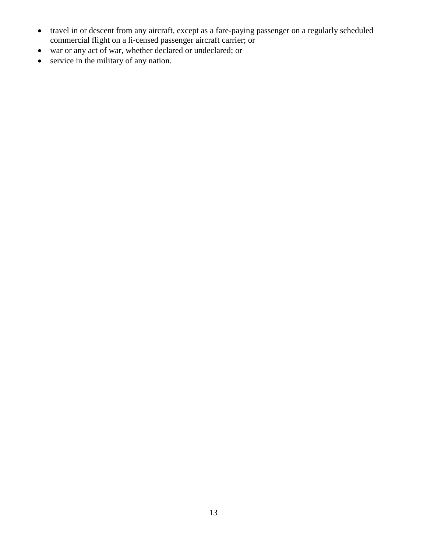- travel in or descent from any aircraft, except as a fare-paying passenger on a regularly scheduled commercial flight on a li-censed passenger aircraft carrier; or
- war or any act of war, whether declared or undeclared; or
- service in the military of any nation.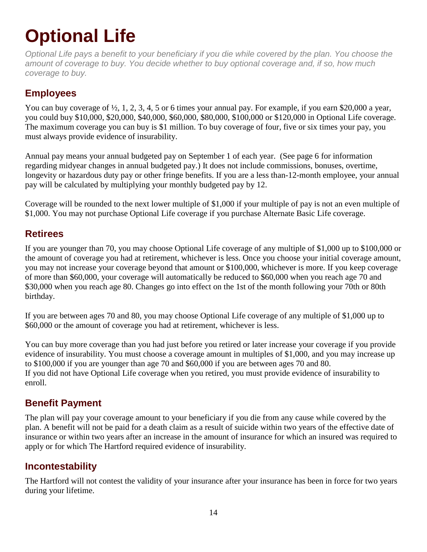# <span id="page-13-0"></span>**Optional Life**

*Optional Life pays a benefit to your beneficiary if you die while covered by the plan. You choose the amount of coverage to buy. You decide whether to buy optional coverage and, if so, how much coverage to buy.*

#### <span id="page-13-1"></span>**Employees**

You can buy coverage of  $\frac{1}{2}$ , 1, 2, 3, 4, 5 or 6 times your annual pay. For example, if you earn \$20,000 a year, you could buy \$10,000, \$20,000, \$40,000, \$60,000, \$80,000, \$100,000 or \$120,000 in Optional Life coverage. The maximum coverage you can buy is \$1 million. To buy coverage of four, five or six times your pay, you must always provide evidence of insurability.

Annual pay means your annual budgeted pay on September 1 of each year. (See page 6 for information regarding midyear changes in annual budgeted pay.) It does not include commissions, bonuses, overtime, longevity or hazardous duty pay or other fringe benefits. If you are a less than-12-month employee, your annual pay will be calculated by multiplying your monthly budgeted pay by 12.

Coverage will be rounded to the next lower multiple of \$1,000 if your multiple of pay is not an even multiple of \$1,000. You may not purchase Optional Life coverage if you purchase Alternate Basic Life coverage.

#### <span id="page-13-2"></span>**Retirees**

If you are younger than 70, you may choose Optional Life coverage of any multiple of \$1,000 up to \$100,000 or the amount of coverage you had at retirement, whichever is less. Once you choose your initial coverage amount, you may not increase your coverage beyond that amount or \$100,000, whichever is more. If you keep coverage of more than \$60,000, your coverage will automatically be reduced to \$60,000 when you reach age 70 and \$30,000 when you reach age 80. Changes go into effect on the 1st of the month following your 70th or 80th birthday.

If you are between ages 70 and 80, you may choose Optional Life coverage of any multiple of \$1,000 up to \$60,000 or the amount of coverage you had at retirement, whichever is less.

You can buy more coverage than you had just before you retired or later increase your coverage if you provide evidence of insurability. You must choose a coverage amount in multiples of \$1,000, and you may increase up to \$100,000 if you are younger than age 70 and \$60,000 if you are between ages 70 and 80. If you did not have Optional Life coverage when you retired, you must provide evidence of insurability to enroll.

#### <span id="page-13-3"></span>**Benefit Payment**

The plan will pay your coverage amount to your beneficiary if you die from any cause while covered by the plan. A benefit will not be paid for a death claim as a result of suicide within two years of the effective date of insurance or within two years after an increase in the amount of insurance for which an insured was required to apply or for which The Hartford required evidence of insurability.

#### <span id="page-13-4"></span>**Incontestability**

The Hartford will not contest the validity of your insurance after your insurance has been in force for two years during your lifetime.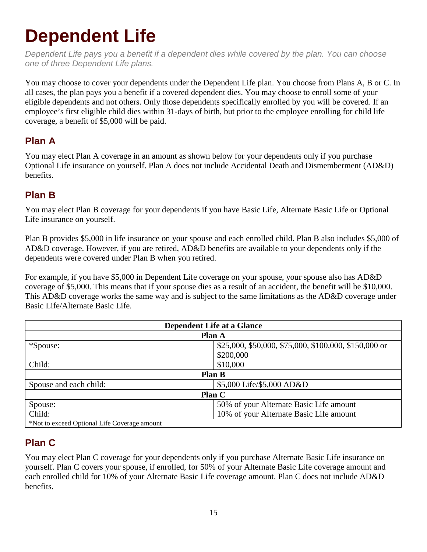### <span id="page-14-0"></span>**Dependent Life**

*Dependent Life pays you a benefit if a dependent dies while covered by the plan. You can choose one of three Dependent Life plans.*

You may choose to cover your dependents under the Dependent Life plan. You choose from Plans A, B or C. In all cases, the plan pays you a benefit if a covered dependent dies. You may choose to enroll some of your eligible dependents and not others. Only those dependents specifically enrolled by you will be covered. If an employee's first eligible child dies within 31-days of birth, but prior to the employee enrolling for child life coverage, a benefit of \$5,000 will be paid.

#### <span id="page-14-1"></span>**Plan A**

You may elect Plan A coverage in an amount as shown below for your dependents only if you purchase Optional Life insurance on yourself. Plan A does not include Accidental Death and Dismemberment (AD&D) benefits.

#### <span id="page-14-2"></span>**Plan B**

You may elect Plan B coverage for your dependents if you have Basic Life, Alternate Basic Life or Optional Life insurance on yourself.

Plan B provides \$5,000 in life insurance on your spouse and each enrolled child. Plan B also includes \$5,000 of AD&D coverage. However, if you are retired, AD&D benefits are available to your dependents only if the dependents were covered under Plan B when you retired.

For example, if you have \$5,000 in Dependent Life coverage on your spouse, your spouse also has AD&D coverage of \$5,000. This means that if your spouse dies as a result of an accident, the benefit will be \$10,000. This AD&D coverage works the same way and is subject to the same limitations as the AD&D coverage under Basic Life/Alternate Basic Life.

<span id="page-14-3"></span>

| <b>Dependent Life at a Glance</b>            |                                                       |  |
|----------------------------------------------|-------------------------------------------------------|--|
| <b>Plan A</b>                                |                                                       |  |
| *Spouse:                                     | \$25,000, \$50,000, \$75,000, \$100,000, \$150,000 or |  |
|                                              | \$200,000                                             |  |
| Child:                                       | \$10,000                                              |  |
| <b>Plan B</b>                                |                                                       |  |
| Spouse and each child:                       | \$5,000 Life/\$5,000 AD&D                             |  |
| Plan C                                       |                                                       |  |
| Spouse:                                      | 50% of your Alternate Basic Life amount               |  |
| Child:                                       | 10% of your Alternate Basic Life amount               |  |
| *Not to exceed Optional Life Coverage amount |                                                       |  |

#### <span id="page-14-4"></span>**Plan C**

You may elect Plan C coverage for your dependents only if you purchase Alternate Basic Life insurance on yourself. Plan C covers your spouse, if enrolled, for 50% of your Alternate Basic Life coverage amount and each enrolled child for 10% of your Alternate Basic Life coverage amount. Plan C does not include AD&D benefits.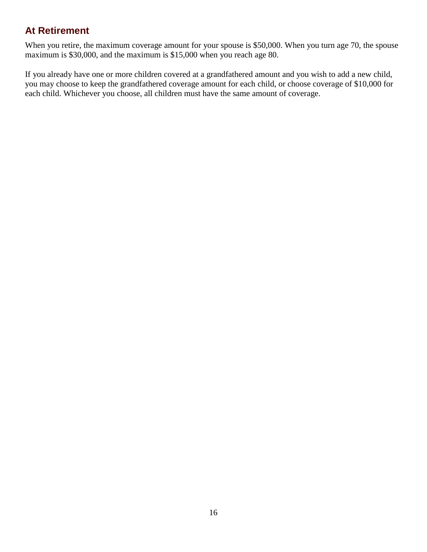#### <span id="page-15-0"></span>**At Retirement**

When you retire, the maximum coverage amount for your spouse is \$50,000. When you turn age 70, the spouse maximum is \$30,000, and the maximum is \$15,000 when you reach age 80.

If you already have one or more children covered at a grandfathered amount and you wish to add a new child, you may choose to keep the grandfathered coverage amount for each child, or choose coverage of \$10,000 for each child. Whichever you choose, all children must have the same amount of coverage.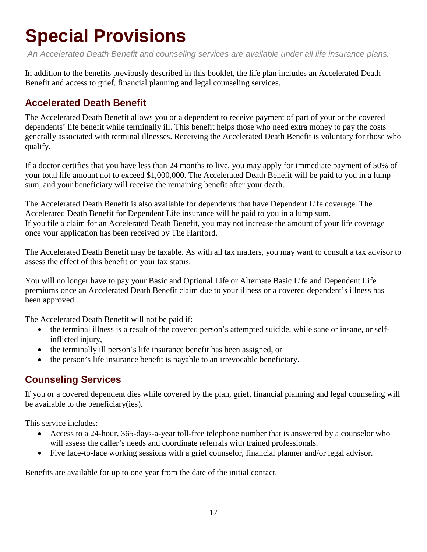# <span id="page-16-0"></span>**Special Provisions**

*An Accelerated Death Benefit and counseling services are available under all life insurance plans.*

In addition to the benefits previously described in this booklet, the life plan includes an Accelerated Death Benefit and access to grief, financial planning and legal counseling services.

#### <span id="page-16-1"></span>**Accelerated Death Benefit**

The Accelerated Death Benefit allows you or a dependent to receive payment of part of your or the covered dependents' life benefit while terminally ill. This benefit helps those who need extra money to pay the costs generally associated with terminal illnesses. Receiving the Accelerated Death Benefit is voluntary for those who qualify.

If a doctor certifies that you have less than 24 months to live, you may apply for immediate payment of 50% of your total life amount not to exceed \$1,000,000. The Accelerated Death Benefit will be paid to you in a lump sum, and your beneficiary will receive the remaining benefit after your death.

The Accelerated Death Benefit is also available for dependents that have Dependent Life coverage. The Accelerated Death Benefit for Dependent Life insurance will be paid to you in a lump sum. If you file a claim for an Accelerated Death Benefit, you may not increase the amount of your life coverage once your application has been received by The Hartford.

The Accelerated Death Benefit may be taxable. As with all tax matters, you may want to consult a tax advisor to assess the effect of this benefit on your tax status.

You will no longer have to pay your Basic and Optional Life or Alternate Basic Life and Dependent Life premiums once an Accelerated Death Benefit claim due to your illness or a covered dependent's illness has been approved.

The Accelerated Death Benefit will not be paid if:

- the terminal illness is a result of the covered person's attempted suicide, while sane or insane, or selfinflicted injury,
- the terminally ill person's life insurance benefit has been assigned, or
- the person's life insurance benefit is payable to an irrevocable beneficiary.

#### <span id="page-16-2"></span>**Counseling Services**

If you or a covered dependent dies while covered by the plan, grief, financial planning and legal counseling will be available to the beneficiary(ies).

This service includes:

- Access to a 24-hour, 365-days-a-year toll-free telephone number that is answered by a counselor who will assess the caller's needs and coordinate referrals with trained professionals.
- Five face-to-face working sessions with a grief counselor, financial planner and/or legal advisor.

Benefits are available for up to one year from the date of the initial contact.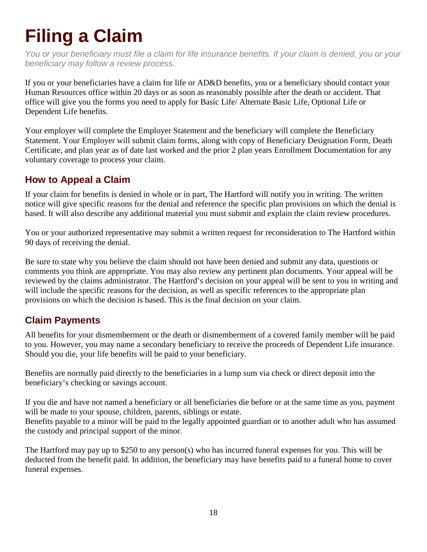# <span id="page-17-0"></span>**Filing a Claim**

*You or your beneficiary must file a claim for life insurance benefits. If your claim is denied, you or your beneficiary may follow a review process.*

If you or your beneficiaries have a claim for life or AD&D benefits, you or a beneficiary should contact your Human Resources office within 20 days or as soon as reasonably possible after the death or accident. That office will give you the forms you need to apply for Basic Life/ Alternate Basic Life, Optional Life or Dependent Life benefits.

Your employer will complete the Employer Statement and the beneficiary will complete the Beneficiary Statement. Your Employer will submit claim forms, along with copy of Beneficiary Designation Form, Death Certificate, and plan year as of date last worked and the prior 2 plan years Enrollment Documentation for any voluntary coverage to process your claim.

#### <span id="page-17-1"></span>**How to Appeal a Claim**

If your claim for benefits is denied in whole or in part, The Hartford will notify you in writing. The written notice will give specific reasons for the denial and reference the specific plan provisions on which the denial is based. It will also describe any additional material you must submit and explain the claim review procedures.

You or your authorized representative may submit a written request for reconsideration to The Hartford within 90 days of receiving the denial.

Be sure to state why you believe the claim should not have been denied and submit any data, questions or comments you think are appropriate. You may also review any pertinent plan documents. Your appeal will be reviewed by the claims administrator. The Hartford's decision on your appeal will be sent to you in writing and will include the specific reasons for the decision, as well as specific references to the appropriate plan provisions on which the decision is based. This is the final decision on your claim.

#### <span id="page-17-2"></span>**Claim Payments**

All benefits for your dismemberment or the death or dismemberment of a covered family member will be paid to you. However, you may name a secondary beneficiary to receive the proceeds of Dependent Life insurance. Should you die, your life benefits will be paid to your beneficiary.

Benefits are normally paid directly to the beneficiaries in a lump sum via check or direct deposit into the beneficiary's checking or savings account.

If you die and have not named a beneficiary or all beneficiaries die before or at the same time as you, payment will be made to your spouse, children, parents, siblings or estate.

Benefits payable to a minor will be paid to the legally appointed guardian or to another adult who has assumed the custody and principal support of the minor.

The Hartford may pay up to \$250 to any person(s) who has incurred funeral expenses for you. This will be deducted from the benefit paid. In addition, the beneficiary may have benefits paid to a funeral home to cover funeral expenses.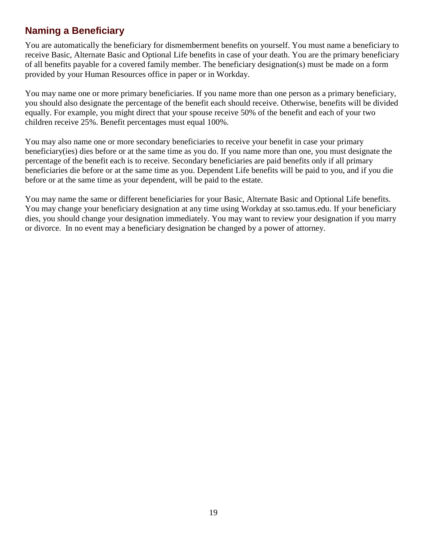#### <span id="page-18-0"></span>**Naming a Beneficiary**

You are automatically the beneficiary for dismemberment benefits on yourself. You must name a beneficiary to receive Basic, Alternate Basic and Optional Life benefits in case of your death. You are the primary beneficiary of all benefits payable for a covered family member. The beneficiary designation(s) must be made on a form provided by your Human Resources office in paper or in Workday.

You may name one or more primary beneficiaries. If you name more than one person as a primary beneficiary, you should also designate the percentage of the benefit each should receive. Otherwise, benefits will be divided equally. For example, you might direct that your spouse receive 50% of the benefit and each of your two children receive 25%. Benefit percentages must equal 100%.

You may also name one or more secondary beneficiaries to receive your benefit in case your primary beneficiary(ies) dies before or at the same time as you do. If you name more than one, you must designate the percentage of the benefit each is to receive. Secondary beneficiaries are paid benefits only if all primary beneficiaries die before or at the same time as you. Dependent Life benefits will be paid to you, and if you die before or at the same time as your dependent, will be paid to the estate.

You may name the same or different beneficiaries for your Basic, Alternate Basic and Optional Life benefits. You may change your beneficiary designation at any time using Workday at sso.tamus.edu. If your beneficiary dies, you should change your designation immediately. You may want to review your designation if you marry or divorce. In no event may a beneficiary designation be changed by a power of attorney.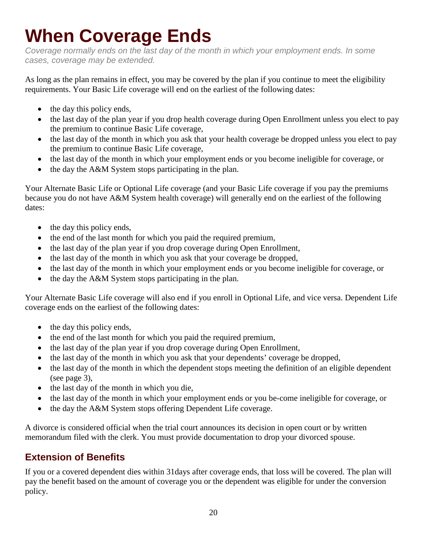# **When Coverage Ends**

*Coverage normally ends on the last day of the month in which your employment ends. In some cases, coverage may be extended.*

As long as the plan remains in effect, you may be covered by the plan if you continue to meet the eligibility requirements. Your Basic Life coverage will end on the earliest of the following dates:

- the day this policy ends,
- the last day of the plan year if you drop health coverage during Open Enrollment unless you elect to pay the premium to continue Basic Life coverage,
- the last day of the month in which you ask that your health coverage be dropped unless you elect to pay the premium to continue Basic Life coverage,
- the last day of the month in which your employment ends or you become ineligible for coverage, or
- the day the A&M System stops participating in the plan.

Your Alternate Basic Life or Optional Life coverage (and your Basic Life coverage if you pay the premiums because you do not have A&M System health coverage) will generally end on the earliest of the following dates:

- the day this policy ends,
- the end of the last month for which you paid the required premium,
- the last day of the plan year if you drop coverage during Open Enrollment,
- the last day of the month in which you ask that your coverage be dropped,
- the last day of the month in which your employment ends or you become ineligible for coverage, or
- the day the A&M System stops participating in the plan.

Your Alternate Basic Life coverage will also end if you enroll in Optional Life, and vice versa. Dependent Life coverage ends on the earliest of the following dates:

- the day this policy ends,
- the end of the last month for which you paid the required premium,
- the last day of the plan year if you drop coverage during Open Enrollment,
- the last day of the month in which you ask that your dependents' coverage be dropped,
- the last day of the month in which the dependent stops meeting the definition of an eligible dependent (see page 3),
- the last day of the month in which you die,
- the last day of the month in which your employment ends or you be-come ineligible for coverage, or
- the day the A&M System stops offering Dependent Life coverage.

A divorce is considered official when the trial court announces its decision in open court or by written memorandum filed with the clerk. You must provide documentation to drop your divorced spouse.

#### <span id="page-19-0"></span>**Extension of Benefits**

If you or a covered dependent dies within 31days after coverage ends, that loss will be covered. The plan will pay the benefit based on the amount of coverage you or the dependent was eligible for under the conversion policy.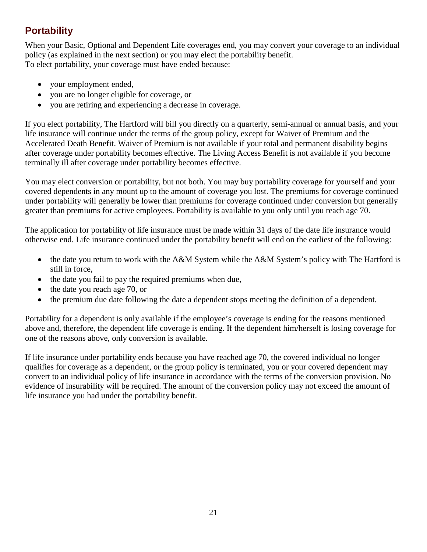#### <span id="page-20-0"></span>**Portability**

When your Basic, Optional and Dependent Life coverages end, you may convert your coverage to an individual policy (as explained in the next section) or you may elect the portability benefit. To elect portability, your coverage must have ended because:

- your employment ended,
- you are no longer eligible for coverage, or
- you are retiring and experiencing a decrease in coverage.

If you elect portability, The Hartford will bill you directly on a quarterly, semi-annual or annual basis, and your life insurance will continue under the terms of the group policy, except for Waiver of Premium and the Accelerated Death Benefit. Waiver of Premium is not available if your total and permanent disability begins after coverage under portability becomes effective. The Living Access Benefit is not available if you become terminally ill after coverage under portability becomes effective.

You may elect conversion or portability, but not both. You may buy portability coverage for yourself and your covered dependents in any mount up to the amount of coverage you lost. The premiums for coverage continued under portability will generally be lower than premiums for coverage continued under conversion but generally greater than premiums for active employees. Portability is available to you only until you reach age 70.

The application for portability of life insurance must be made within 31 days of the date life insurance would otherwise end. Life insurance continued under the portability benefit will end on the earliest of the following:

- the date you return to work with the A&M System while the A&M System's policy with The Hartford is still in force,
- the date you fail to pay the required premiums when due,
- the date you reach age 70, or
- the premium due date following the date a dependent stops meeting the definition of a dependent.

Portability for a dependent is only available if the employee's coverage is ending for the reasons mentioned above and, therefore, the dependent life coverage is ending. If the dependent him/herself is losing coverage for one of the reasons above, only conversion is available.

If life insurance under portability ends because you have reached age 70, the covered individual no longer qualifies for coverage as a dependent, or the group policy is terminated, you or your covered dependent may convert to an individual policy of life insurance in accordance with the terms of the conversion provision. No evidence of insurability will be required. The amount of the conversion policy may not exceed the amount of life insurance you had under the portability benefit.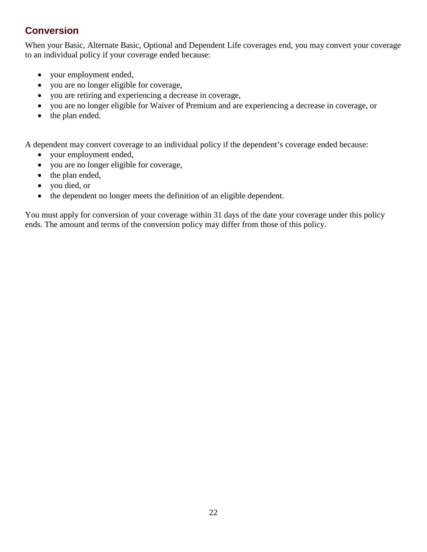#### <span id="page-21-0"></span>**Conversion**

When your Basic, Alternate Basic, Optional and Dependent Life coverages end, you may convert your coverage to an individual policy if your coverage ended because:

- your employment ended,
- you are no longer eligible for coverage,
- you are retiring and experiencing a decrease in coverage,
- you are no longer eligible for Waiver of Premium and are experiencing a decrease in coverage, or
- the plan ended.

A dependent may convert coverage to an individual policy if the dependent's coverage ended because:

- your employment ended,
- you are no longer eligible for coverage,
- the plan ended,
- you died, or
- the dependent no longer meets the definition of an eligible dependent.

You must apply for conversion of your coverage within 31 days of the date your coverage under this policy ends. The amount and terms of the conversion policy may differ from those of this policy.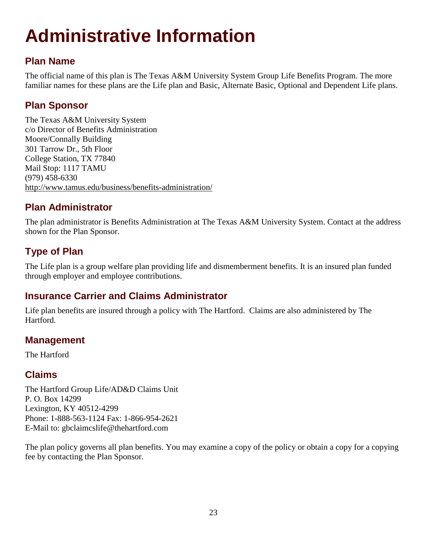# **Administrative Information**

#### <span id="page-22-0"></span>**Plan Name**

The official name of this plan is The Texas A&M University System Group Life Benefits Program. The more familiar names for these plans are the Life plan and Basic, Alternate Basic, Optional and Dependent Life plans.

#### <span id="page-22-1"></span>**Plan Sponsor**

The Texas A&M University System c/o Director of Benefits Administration Moore/Connally Building 301 Tarrow Dr., 5th Floor College Station, TX 77840 Mail Stop: 1117 TAMU (979) 458-6330 <http://www.tamus.edu/business/benefits-administration/>

#### <span id="page-22-2"></span>**Plan Administrator**

The plan administrator is Benefits Administration at The Texas A&M University System. Contact at the address shown for the Plan Sponsor.

#### <span id="page-22-3"></span>**Type of Plan**

The Life plan is a group welfare plan providing life and dismemberment benefits. It is an insured plan funded through employer and employee contributions.

#### <span id="page-22-4"></span>**Insurance Carrier and Claims Administrator**

Life plan benefits are insured through a policy with The Hartford. Claims are also administered by The Hartford.

#### <span id="page-22-5"></span>**Management**

The Hartford

#### <span id="page-22-6"></span>**Claims**

The Hartford Group Life/AD&D Claims Unit P. O. Box 14299 Lexington, KY 40512-4299 Phone: 1-888-563-1124 Fax: 1-866-954-2621 E-Mail to: gbclaimcslife@thehartford.com

The plan policy governs all plan benefits. You may examine a copy of the policy or obtain a copy for a copying fee by contacting the Plan Sponsor.